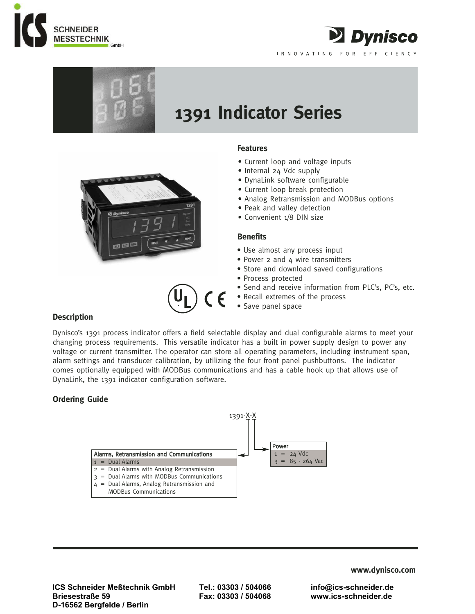



# **1391 Indicator Series**



## **Features**

- Current loop and voltage inputs
- Internal 24 Vdc supply
- DynaLink software configurable
- Current loop break protection
- Analog Retransmission and MODBus options

2 Dynisco

INNOVATING FOR EFFICIENCY

- Peak and valley detection
- Convenient 1/8 DIN size

## **Benefits**

- Use almost any process input
- Power 2 and 4 wire transmitters
- Store and download saved configurations
- Process protected
- Send and receive information from PLC's, PC's, etc.
- Recall extremes of the process
- Save panel space

# **Description**

Dynisco's 1391 process indicator offers a field selectable display and dual configurable alarms to meet your changing process requirements. This versatile indicator has a built in power supply design to power any voltage or current transmitter. The operator can store all operating parameters, including instrument span, alarm settings and transducer calibration, by utilizing the four front panel pushbuttons. The indicator comes optionally equipped with MODBus communications and has a cable hook up that allows use of DynaLink, the 1391 indicator configuration software.

 $\epsilon$ 

# **Ordering Guide**



**ICS Schneider Meßtechnik GmbH Tel.: 03303 / 504066 info@ics-schneider.de Briesestraße 59 Fax: 03303 / 504068 www.ics-schneider.de D-16562 Bergfelde / Berlin** 

**www.dynisco.com**